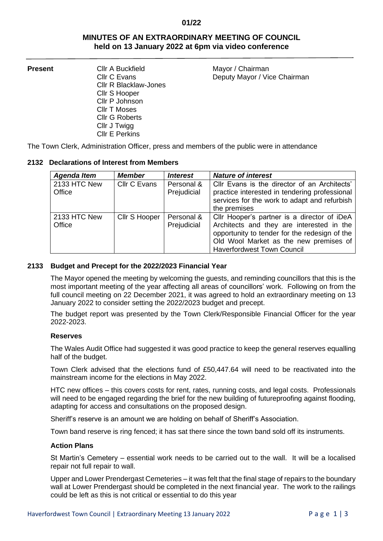## **01/22**

# **MINUTES OF AN EXTRAORDINARY MEETING OF COUNCIL held on 13 January 2022 at 6pm via video conference**

Cllr R Blacklaw-Jones Cllr S Hooper Cllr P Johnson Cllr T Moses Cllr G Roberts Cllr J Twigg Cllr E Perkins

**Present** Cllr A Buckfield Mayor / Chairman Cllr C Evans **Deputy Mayor / Vice Chairman** 

The Town Clerk, Administration Officer, press and members of the public were in attendance

## **2132 Declarations of Interest from Members**

| <b>Agenda Item</b>     | <b>Member</b> | <i><b>Interest</b></i>    | <b>Nature of interest</b>                                                                                                                                                                                                |
|------------------------|---------------|---------------------------|--------------------------------------------------------------------------------------------------------------------------------------------------------------------------------------------------------------------------|
| 2133 HTC New<br>Office | Cllr C Evans  | Personal &<br>Prejudicial | Cllr Evans is the director of an Architects'<br>practice interested in tendering professional<br>services for the work to adapt and refurbish<br>the premises                                                            |
| 2133 HTC New<br>Office | Cllr S Hooper | Personal &<br>Prejudicial | Cllr Hooper's partner is a director of iDeA<br>Architects and they are interested in the<br>opportunity to tender for the redesign of the<br>Old Wool Market as the new premises of<br><b>Haverfordwest Town Council</b> |

## **2133 Budget and Precept for the 2022/2023 Financial Year**

The Mayor opened the meeting by welcoming the guests, and reminding councillors that this is the most important meeting of the year affecting all areas of councillors' work. Following on from the full council meeting on 22 December 2021, it was agreed to hold an extraordinary meeting on 13 January 2022 to consider setting the 2022/2023 budget and precept.

The budget report was presented by the Town Clerk/Responsible Financial Officer for the year 2022-2023.

### **Reserves**

The Wales Audit Office had suggested it was good practice to keep the general reserves equalling half of the budget.

Town Clerk advised that the elections fund of £50,447.64 will need to be reactivated into the mainstream income for the elections in May 2022.

HTC new offices – this covers costs for rent, rates, running costs, and legal costs. Professionals will need to be engaged regarding the brief for the new building of futureproofing against flooding, adapting for access and consultations on the proposed design.

Sheriff's reserve is an amount we are holding on behalf of Sheriff's Association.

Town band reserve is ring fenced; it has sat there since the town band sold off its instruments.

## **Action Plans**

St Martin's Cemetery – essential work needs to be carried out to the wall. It will be a localised repair not full repair to wall.

Upper and Lower Prendergast Cemeteries – it was felt that the final stage of repairs to the boundary wall at Lower Prendergast should be completed in the next financial year. The work to the railings could be left as this is not critical or essential to do this year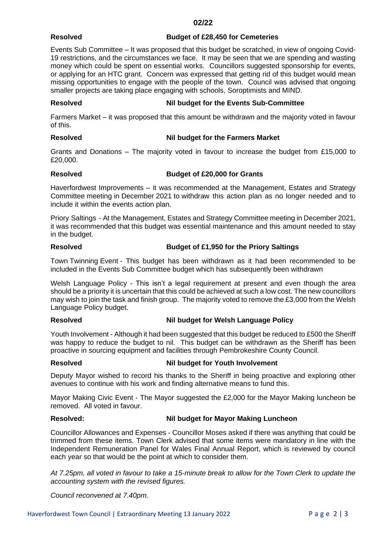### **02/22**

## **Resolved Budget of £28,450 for Cemeteries**

Events Sub Committee – It was proposed that this budget be scratched, in view of ongoing Covid-19 restrictions, and the circumstances we face. It may be seen that we are spending and wasting money which could be spent on essential works. Councillors suggested sponsorship for events, or applying for an HTC grant. Concern was expressed that getting rid of this budget would mean missing opportunities to engage with the people of the town. Council was advised that ongoing smaller projects are taking place engaging with schools, Soroptimists and MIND.

# **Resolved Nil budget for the Events Sub-Committee**

Farmers Market – it was proposed that this amount be withdrawn and the majority voted in favour of this.

# **Resolved Nil budget for the Farmers Market**

Grants and Donations – The majority voted in favour to increase the budget from £15,000 to £20,000.

# **Resolved Budget of £20,000 for Grants**

Haverfordwest Improvements – it was recommended at the Management, Estates and Strategy Committee meeting in December 2021 to withdraw this action plan as no longer needed and to include it within the events action plan.

Priory Saltings - At the Management, Estates and Strategy Committee meeting in December 2021, it was recommended that this budget was essential maintenance and this amount needed to stay in the budget.

# **Resolved Budget of £1,950 for the Priory Saltings**

Town Twinning Event - This budget has been withdrawn as it had been recommended to be included in the Events Sub Committee budget which has subsequently been withdrawn

Welsh Language Policy - This isn't a legal requirement at present and even though the area should be a priority it is uncertain that this could be achieved at such a low cost. The new councillors may wish to join the task and finish group. The majority voted to remove the £3,000 from the Welsh Language Policy budget.

# **Resolved Nil budget for Welsh Language Policy**

Youth Involvement - Although it had been suggested that this budget be reduced to £500 the Sheriff was happy to reduce the budget to nil. This budget can be withdrawn as the Sheriff has been proactive in sourcing equipment and facilities through Pembrokeshire County Council.

# **Resolved Nil budget for Youth Involvement**

Deputy Mayor wished to record his thanks to the Sheriff in being proactive and exploring other avenues to continue with his work and finding alternative means to fund this.

Mayor Making Civic Event - The Mayor suggested the £2,000 for the Mayor Making luncheon be removed. All voted in favour.

# **Resolved: Nil budget for Mayor Making Luncheon**

Councillor Allowances and Expenses - Councillor Moses asked if there was anything that could be trimmed from these items. Town Clerk advised that some items were mandatory in line with the Independent Remuneration Panel for Wales Final Annual Report, which is reviewed by council each year so that would be the point at which to consider them.

*At 7.25pm, all voted in favour to take a 15-minute break to allow for the Town Clerk to update the accounting system with the revised figures.*

*Council reconvened at 7.40pm.*